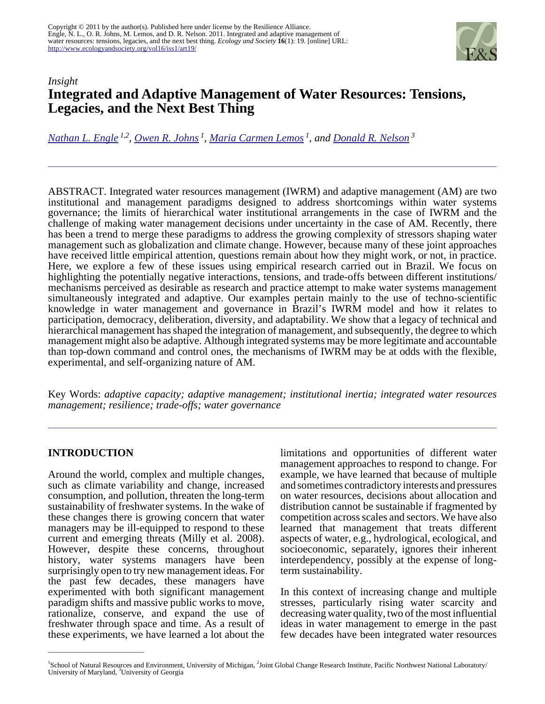

# *Insight* **Integrated and Adaptive Management of Water Resources: Tensions, Legacies, and the Next Best Thing**

*[Nathan L. Engle](mailto:nathan.engle@pnl.gov) 1,2 , [Owen R. Johns](mailto:orjohns@umich.edu)<sup>1</sup> , [Maria Carmen Lemos](mailto:lemos@umich.edu)<sup>1</sup>, and [Donald R. Nelson](mailto:dnelson@uga.edu)<sup>3</sup>*

ABSTRACT. Integrated water resources management (IWRM) and adaptive management (AM) are two institutional and management paradigms designed to address shortcomings within water systems governance; the limits of hierarchical water institutional arrangements in the case of IWRM and the challenge of making water management decisions under uncertainty in the case of AM. Recently, there has been a trend to merge these paradigms to address the growing complexity of stressors shaping water management such as globalization and climate change. However, because many of these joint approaches have received little empirical attention, questions remain about how they might work, or not, in practice. Here, we explore a few of these issues using empirical research carried out in Brazil. We focus on highlighting the potentially negative interactions, tensions, and trade-offs between different institutions/ mechanisms perceived as desirable as research and practice attempt to make water systems management simultaneously integrated and adaptive. Our examples pertain mainly to the use of techno-scientific knowledge in water management and governance in Brazil's IWRM model and how it relates to participation, democracy, deliberation, diversity, and adaptability. We show that a legacy of technical and hierarchical management has shaped the integration of management, and subsequently, the degree to which management might also be adaptive. Although integrated systems may be more legitimate and accountable than top-down command and control ones, the mechanisms of IWRM may be at odds with the flexible, experimental, and self-organizing nature of AM.

Key Words: *adaptive capacity; adaptive management; institutional inertia; integrated water resources management; resilience; trade-offs; water governance*

## **INTRODUCTION**

Around the world, complex and multiple changes, such as climate variability and change, increased consumption, and pollution, threaten the long-term sustainability of freshwater systems. In the wake of these changes there is growing concern that water managers may be ill-equipped to respond to these current and emerging threats (Milly et al. 2008). However, despite these concerns, throughout history, water systems managers have been surprisingly open to try new management ideas. For the past few decades, these managers have experimented with both significant management paradigm shifts and massive public works to move, rationalize, conserve, and expand the use of freshwater through space and time. As a result of these experiments, we have learned a lot about the

limitations and opportunities of different water management approaches to respond to change. For example, we have learned that because of multiple and sometimes contradictory interests and pressures on water resources, decisions about allocation and distribution cannot be sustainable if fragmented by competition across scales and sectors. We have also learned that management that treats different aspects of water, e.g., hydrological, ecological, and socioeconomic, separately, ignores their inherent interdependency, possibly at the expense of longterm sustainability.

In this context of increasing change and multiple stresses, particularly rising water scarcity and decreasing water quality, two of the most influential ideas in water management to emerge in the past few decades have been integrated water resources

<sup>&</sup>lt;sup>1</sup>School of Natural Resources and Environment, University of Michigan, <sup>2</sup>Joint Global Change Research Institute, Pacific Northwest National Laboratory/ University of Maryland, <sup>3</sup>University of Georgia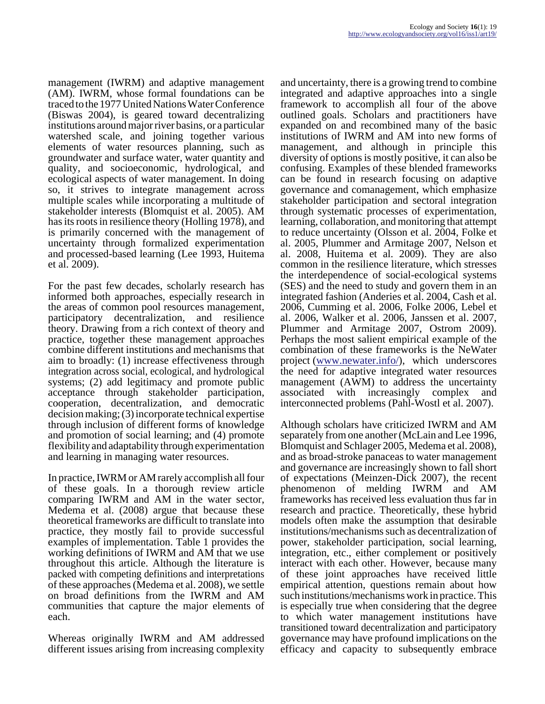management (IWRM) and adaptive management (AM). IWRM, whose formal foundations can be traced to the 1977 United Nations Water Conference (Biswas 2004), is geared toward decentralizing institutions around major river basins, or a particular watershed scale, and joining together various elements of water resources planning, such as groundwater and surface water, water quantity and quality, and socioeconomic, hydrological, and ecological aspects of water management. In doing so, it strives to integrate management across multiple scales while incorporating a multitude of stakeholder interests (Blomquist et al. 2005). AM has its roots in resilience theory (Holling 1978), and is primarily concerned with the management of uncertainty through formalized experimentation and processed-based learning (Lee 1993, Huitema et al. 2009).

For the past few decades, scholarly research has informed both approaches, especially research in the areas of common pool resources management, participatory decentralization, and resilience theory. Drawing from a rich context of theory and practice, together these management approaches combine different institutions and mechanisms that aim to broadly: (1) increase effectiveness through integration across social, ecological, and hydrological systems; (2) add legitimacy and promote public acceptance through stakeholder participation, cooperation, decentralization, and democratic decision making; (3) incorporate technical expertise through inclusion of different forms of knowledge and promotion of social learning; and (4) promote flexibility and adaptability through experimentation and learning in managing water resources.

In practice, IWRM or AM rarely accomplish all four of these goals. In a thorough review article comparing IWRM and AM in the water sector, Medema et al. (2008) argue that because these theoretical frameworks are difficult to translate into practice, they mostly fail to provide successful examples of implementation. Table 1 provides the working definitions of IWRM and AM that we use throughout this article. Although the literature is packed with competing definitions and interpretations of these approaches (Medema et al. 2008), we settle on broad definitions from the IWRM and AM communities that capture the major elements of each.

Whereas originally IWRM and AM addressed different issues arising from increasing complexity

and uncertainty, there is a growing trend to combine integrated and adaptive approaches into a single framework to accomplish all four of the above outlined goals. Scholars and practitioners have expanded on and recombined many of the basic institutions of IWRM and AM into new forms of management, and although in principle this diversity of options is mostly positive, it can also be confusing. Examples of these blended frameworks can be found in research focusing on adaptive governance and comanagement, which emphasize stakeholder participation and sectoral integration through systematic processes of experimentation, learning, collaboration, and monitoring that attempt to reduce uncertainty (Olsson et al. 2004, Folke et al. 2005, Plummer and Armitage 2007, Nelson et al. 2008, Huitema et al. 2009). They are also common in the resilience literature, which stresses the interdependence of social-ecological systems (SES) and the need to study and govern them in an integrated fashion (Anderies et al. 2004, Cash et al. 2006, Cumming et al. 2006, Folke 2006, Lebel et al. 2006, Walker et al. 2006, Janssen et al. 2007, Plummer and Armitage 2007, Ostrom 2009). Perhaps the most salient empirical example of the combination of these frameworks is the NeWater project (www.newater.info), which underscores the need for adaptive integrated water resources management (AWM) to address the uncertainty associated with increasingly complex and interconnected problems (Pahl-Wostl et al. 2007).

Although scholars have criticized IWRM and AM separately from one another (McLain and Lee 1996, Blomquist and Schlager 2005, Medema et al. 2008), and as broad-stroke panaceas to water management and governance are increasingly shown to fall short of expectations (Meinzen-Dick 2007), the recent phenomenon of melding IWRM and AM frameworks has received less evaluation thus far in research and practice. Theoretically, these hybrid models often make the assumption that desirable institutions/mechanisms such as decentralization of power, stakeholder participation, social learning, integration, etc., either complement or positively interact with each other. However, because many of these joint approaches have received little empirical attention, questions remain about how such institutions/mechanisms work in practice. This is especially true when considering that the degree to which water management institutions have transitioned toward decentralization and participatory governance may have profound implications on the efficacy and capacity to subsequently embrace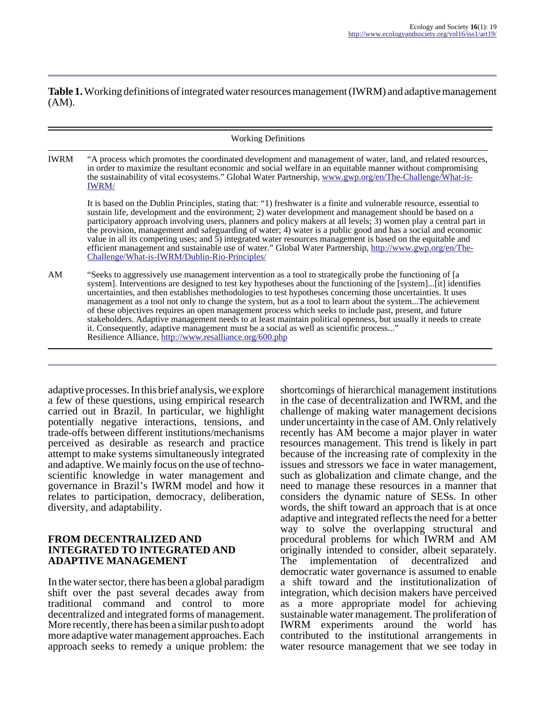**Table 1.** Working definitions of integrated water resources management (IWRM) and adaptive management (AM).

| <b>Working Definitions</b> |                                                                                                                                                                                                                                                                                                                                                                                                                                                                                                                                                                                                                                                                                                                                                                                                                                               |
|----------------------------|-----------------------------------------------------------------------------------------------------------------------------------------------------------------------------------------------------------------------------------------------------------------------------------------------------------------------------------------------------------------------------------------------------------------------------------------------------------------------------------------------------------------------------------------------------------------------------------------------------------------------------------------------------------------------------------------------------------------------------------------------------------------------------------------------------------------------------------------------|
| IWRM                       | "A process which promotes the coordinated development and management of water, land, and related resources,<br>in order to maximize the resultant economic and social welfare in an equitable manner without compromising<br>the sustainability of vital ecosystems." Global Water Partnership, www.gwp.org/en/The-Challenge/What-is-<br><b>IWRM/</b>                                                                                                                                                                                                                                                                                                                                                                                                                                                                                         |
|                            | It is based on the Dublin Principles, stating that: "1) freshwater is a finite and vulnerable resource, essential to<br>sustain life, development and the environment; 2) water development and management should be based on a<br>participatory approach involving users, planners and policy makers at all levels; 3) women play a central part in<br>the provision, management and safeguarding of water; 4) water is a public good and has a social and economic<br>value in all its competing uses; and $\bar{5}$ ) integrated water resources management is based on the equitable and<br>efficient management and sustainable use of water." Global Water Partnership, http://www.gwp.org/en/The-<br>Challenge/What-is-IWRM/Dublin-Rio-Principles/                                                                                     |
| AM                         | "Seeks to aggressively use management intervention as a tool to strategically probe the functioning of [a<br>system]. Interventions are designed to test key hypotheses about the functioning of the [system][it] identifies<br>uncertainties, and then establishes methodologies to test hypotheses concerning those uncertainties. It uses<br>management as a tool not only to change the system, but as a tool to learn about the systemThe achievement<br>of these objectives requires an open management process which seeks to include past, present, and future<br>stakeholders. Adaptive management needs to at least maintain political openness, but usually it needs to create<br>it. Consequently, adaptive management must be a social as well as scientific process"<br>Resilience Alliance, http://www.resalliance.org/600.php |

adaptive processes. In this brief analysis, we explore a few of these questions, using empirical research carried out in Brazil. In particular, we highlight potentially negative interactions, tensions, and trade-offs between different institutions/mechanisms perceived as desirable as research and practice attempt to make systems simultaneously integrated and adaptive. We mainly focus on the use of technoscientific knowledge in water management and governance in Brazil's IWRM model and how it relates to participation, democracy, deliberation, diversity, and adaptability.

#### **FROM DECENTRALIZED AND INTEGRATED TO INTEGRATED AND ADAPTIVE MANAGEMENT**

In the water sector, there has been a global paradigm shift over the past several decades away from traditional command and control to more decentralized and integrated forms of management. More recently, there has been a similar push to adopt more adaptive water management approaches. Each approach seeks to remedy a unique problem: the shortcomings of hierarchical management institutions in the case of decentralization and IWRM, and the challenge of making water management decisions under uncertainty in the case of AM. Only relatively recently has AM become a major player in water resources management. This trend is likely in part because of the increasing rate of complexity in the issues and stressors we face in water management, such as globalization and climate change, and the need to manage these resources in a manner that considers the dynamic nature of SESs. In other words, the shift toward an approach that is at once adaptive and integrated reflects the need for a better way to solve the overlapping structural and procedural problems for which IWRM and AM originally intended to consider, albeit separately. The implementation of decentralized and democratic water governance is assumed to enable a shift toward and the institutionalization of integration, which decision makers have perceived as a more appropriate model for achieving sustainable water management. The proliferation of IWRM experiments around the world has contributed to the institutional arrangements in water resource management that we see today in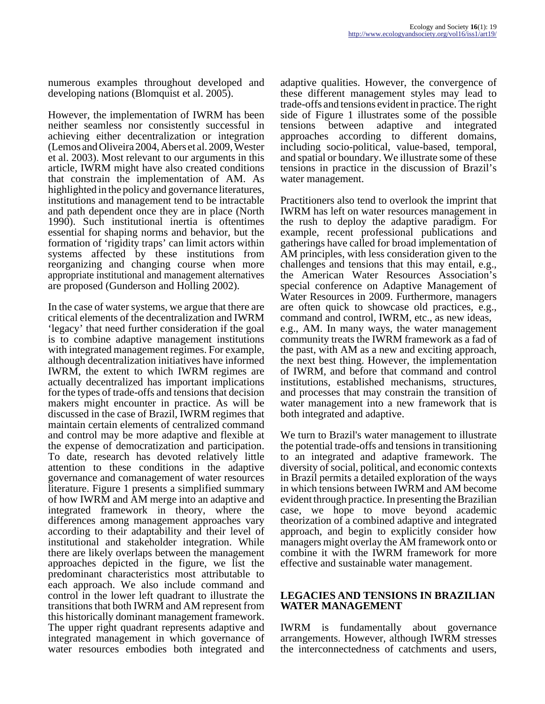numerous examples throughout developed and developing nations (Blomquist et al. 2005).

However, the implementation of IWRM has been neither seamless nor consistently successful in achieving either decentralization or integration (Lemos and Oliveira 2004, Abers et al. 2009, Wester et al. 2003). Most relevant to our arguments in this article, IWRM might have also created conditions that constrain the implementation of AM. As highlighted in the policy and governance literatures, institutions and management tend to be intractable and path dependent once they are in place (North 1990). Such institutional inertia is oftentimes essential for shaping norms and behavior, but the formation of 'rigidity traps' can limit actors within systems affected by these institutions from reorganizing and changing course when more appropriate institutional and management alternatives are proposed (Gunderson and Holling 2002).

In the case of water systems, we argue that there are critical elements of the decentralization and IWRM 'legacy' that need further consideration if the goal is to combine adaptive management institutions with integrated management regimes. For example, although decentralization initiatives have informed IWRM, the extent to which IWRM regimes are actually decentralized has important implications for the types of trade-offs and tensions that decision makers might encounter in practice. As will be discussed in the case of Brazil, IWRM regimes that maintain certain elements of centralized command and control may be more adaptive and flexible at the expense of democratization and participation. To date, research has devoted relatively little attention to these conditions in the adaptive governance and comanagement of water resources literature. Figure 1 presents a simplified summary of how IWRM and AM merge into an adaptive and integrated framework in theory, where the differences among management approaches vary according to their adaptability and their level of institutional and stakeholder integration. While there are likely overlaps between the management approaches depicted in the figure, we list the predominant characteristics most attributable to each approach. We also include command and control in the lower left quadrant to illustrate the transitions that both IWRM and AM represent from this historically dominant management framework. The upper right quadrant represents adaptive and integrated management in which governance of water resources embodies both integrated and

adaptive qualities. However, the convergence of these different management styles may lead to trade-offs and tensions evident in practice. The right side of Figure 1 illustrates some of the possible tensions between adaptive and integrated approaches according to different domains, including socio-political, value-based, temporal, and spatial or boundary. We illustrate some of these tensions in practice in the discussion of Brazil's water management.

Practitioners also tend to overlook the imprint that IWRM has left on water resources management in the rush to deploy the adaptive paradigm. For example, recent professional publications and gatherings have called for broad implementation of AM principles, with less consideration given to the challenges and tensions that this may entail, e.g., the American Water Resources Association's special conference on Adaptive Management of Water Resources in 2009. Furthermore, managers are often quick to showcase old practices, e.g., command and control, IWRM, etc., as new ideas, e.g., AM. In many ways, the water management community treats the IWRM framework as a fad of the past, with AM as a new and exciting approach, the next best thing. However, the implementation of IWRM, and before that command and control institutions, established mechanisms, structures, and processes that may constrain the transition of water management into a new framework that is both integrated and adaptive.

We turn to Brazil's water management to illustrate the potential trade-offs and tensions in transitioning to an integrated and adaptive framework. The diversity of social, political, and economic contexts in Brazil permits a detailed exploration of the ways in which tensions between IWRM and AM become evident through practice. In presenting the Brazilian case, we hope to move beyond academic theorization of a combined adaptive and integrated approach, and begin to explicitly consider how managers might overlay the AM framework onto or combine it with the IWRM framework for more effective and sustainable water management.

#### **LEGACIES AND TENSIONS IN BRAZILIAN WATER MANAGEMENT**

IWRM is fundamentally about governance arrangements. However, although IWRM stresses the interconnectedness of catchments and users,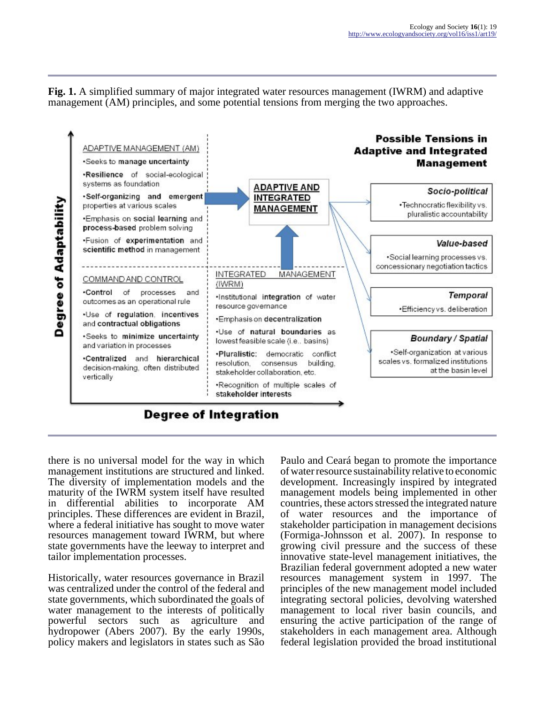**Fig. 1.** A simplified summary of major integrated water resources management (IWRM) and adaptive management (AM) principles, and some potential tensions from merging the two approaches.



there is no universal model for the way in which management institutions are structured and linked. The diversity of implementation models and the maturity of the IWRM system itself have resulted in differential abilities to incorporate AM principles. These differences are evident in Brazil, where a federal initiative has sought to move water resources management toward IWRM, but where state governments have the leeway to interpret and tailor implementation processes.

Historically, water resources governance in Brazil was centralized under the control of the federal and state governments, which subordinated the goals of water management to the interests of politically powerful sectors such as agriculture and hydropower (Abers 2007). By the early 1990s, policy makers and legislators in states such as São

Paulo and Ceará began to promote the importance of water resource sustainability relative to economic development. Increasingly inspired by integrated management models being implemented in other countries, these actors stressed the integrated nature of water resources and the importance of stakeholder participation in management decisions (Formiga-Johnsson et al. 2007). In response to growing civil pressure and the success of these innovative state-level management initiatives, the Brazilian federal government adopted a new water resources management system in 1997. The principles of the new management model included integrating sectoral policies, devolving watershed management to local river basin councils, and ensuring the active participation of the range of stakeholders in each management area. Although federal legislation provided the broad institutional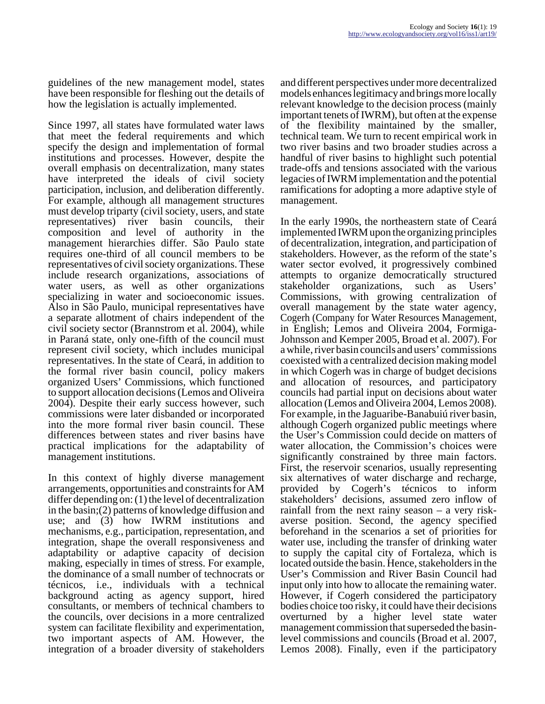guidelines of the new management model, states have been responsible for fleshing out the details of how the legislation is actually implemented.

Since 1997, all states have formulated water laws that meet the federal requirements and which specify the design and implementation of formal institutions and processes. However, despite the overall emphasis on decentralization, many states have interpreted the ideals of civil society participation, inclusion, and deliberation differently. For example, although all management structures must develop triparty (civil society, users, and state representatives) river basin councils, their composition and level of authority in the management hierarchies differ. São Paulo state requires one-third of all council members to be representatives of civil society organizations. These include research organizations, associations of water users, as well as other organizations specializing in water and socioeconomic issues. Also in São Paulo, municipal representatives have a separate allotment of chairs independent of the civil society sector (Brannstrom et al. 2004), while in Paraná state, only one-fifth of the council must represent civil society, which includes municipal representatives. In the state of Ceará, in addition to the formal river basin council, policy makers organized Users' Commissions, which functioned to support allocation decisions (Lemos and Oliveira 2004). Despite their early success however, such commissions were later disbanded or incorporated into the more formal river basin council. These differences between states and river basins have practical implications for the adaptability of management institutions.

In this context of highly diverse management arrangements, opportunities and constraints for AM differ depending on: (1) the level of decentralization in the basin;(2) patterns of knowledge diffusion and use; and (3) how IWRM institutions and mechanisms, e.g., participation, representation, and integration, shape the overall responsiveness and adaptability or adaptive capacity of decision making, especially in times of stress. For example, the dominance of a small number of technocrats or técnicos, i.e., individuals with a technical background acting as agency support, hired consultants, or members of technical chambers to the councils, over decisions in a more centralized system can facilitate flexibility and experimentation, two important aspects of AM. However, the integration of a broader diversity of stakeholders

and different perspectives under more decentralized models enhances legitimacy and brings more locally relevant knowledge to the decision process (mainly important tenets of IWRM), but often at the expense of the flexibility maintained by the smaller, technical team. We turn to recent empirical work in two river basins and two broader studies across a handful of river basins to highlight such potential trade-offs and tensions associated with the various legacies of IWRM implementation and the potential ramifications for adopting a more adaptive style of management.

In the early 1990s, the northeastern state of Ceará implemented IWRM upon the organizing principles of decentralization, integration, and participation of stakeholders. However, as the reform of the state's water sector evolved, it progressively combined attempts to organize democratically structured stakeholder organizations, such as Users' Commissions, with growing centralization of overall management by the state water agency, Cogerh (Company for Water Resources Management, in English; Lemos and Oliveira 2004, Formiga-Johnsson and Kemper 2005, Broad et al. 2007). For a while, river basin councils and users' commissions coexisted with a centralized decision making model in which Cogerh was in charge of budget decisions and allocation of resources, and participatory councils had partial input on decisions about water allocation (Lemos and Oliveira 2004, Lemos 2008). For example, in the Jaguaribe-Banabuiú river basin, although Cogerh organized public meetings where the User's Commission could decide on matters of water allocation, the Commission's choices were significantly constrained by three main factors. First, the reservoir scenarios, usually representing six alternatives of water discharge and recharge, provided by Cogerh's técnicos to inform stakeholders' decisions, assumed zero inflow of rainfall from the next rainy season – a very riskaverse position. Second, the agency specified beforehand in the scenarios a set of priorities for water use, including the transfer of drinking water to supply the capital city of Fortaleza, which is located outside the basin. Hence, stakeholders in the User's Commission and River Basin Council had input only into how to allocate the remaining water. However, if Cogerh considered the participatory bodies choice too risky, it could have their decisions overturned by a higher level state water management commission that superseded the basinlevel commissions and councils (Broad et al. 2007, Lemos 2008). Finally, even if the participatory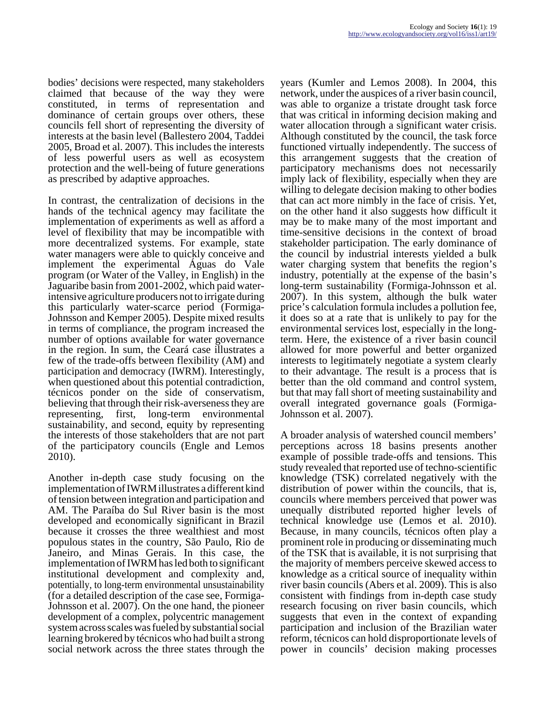bodies' decisions were respected, many stakeholders claimed that because of the way they were constituted, in terms of representation and dominance of certain groups over others, these councils fell short of representing the diversity of interests at the basin level (Ballestero 2004, Taddei 2005, Broad et al. 2007). This includes the interests of less powerful users as well as ecosystem protection and the well-being of future generations as prescribed by adaptive approaches.

In contrast, the centralization of decisions in the hands of the technical agency may facilitate the implementation of experiments as well as afford a level of flexibility that may be incompatible with more decentralized systems. For example, state water managers were able to quickly conceive and implement the experimental Águas do Vale program (or Water of the Valley, in English) in the Jaguaribe basin from 2001-2002, which paid waterintensive agriculture producers not to irrigate during this particularly water-scarce period (Formiga-Johnsson and Kemper 2005). Despite mixed results in terms of compliance, the program increased the number of options available for water governance in the region. In sum, the Ceará case illustrates a few of the trade-offs between flexibility (AM) and participation and democracy (IWRM). Interestingly, when questioned about this potential contradiction, técnicos ponder on the side of conservatism, believing that through their risk-averseness they are representing, first, long-term environmental sustainability, and second, equity by representing the interests of those stakeholders that are not part of the participatory councils (Engle and Lemos 2010).

Another in-depth case study focusing on the implementation of IWRM illustrates a different kind of tension between integration and participation and AM. The Paraíba do Sul River basin is the most developed and economically significant in Brazil because it crosses the three wealthiest and most populous states in the country, São Paulo, Rio de Janeiro, and Minas Gerais. In this case, the implementation of IWRM has led both to significant institutional development and complexity and, potentially, to long-term environmental unsustainability (for a detailed description of the case see, Formiga-Johnsson et al. 2007). On the one hand, the pioneer development of a complex, polycentric management system across scales was fueled by substantial social learning brokered by técnicos who had built a strong social network across the three states through the

years (Kumler and Lemos 2008). In 2004, this network, under the auspices of a river basin council, was able to organize a tristate drought task force that was critical in informing decision making and water allocation through a significant water crisis. Although constituted by the council, the task force functioned virtually independently. The success of this arrangement suggests that the creation of participatory mechanisms does not necessarily imply lack of flexibility, especially when they are willing to delegate decision making to other bodies that can act more nimbly in the face of crisis. Yet, on the other hand it also suggests how difficult it may be to make many of the most important and time-sensitive decisions in the context of broad stakeholder participation. The early dominance of the council by industrial interests yielded a bulk water charging system that benefits the region's industry, potentially at the expense of the basin's long-term sustainability (Formiga-Johnsson et al. 2007). In this system, although the bulk water price's calculation formula includes a pollution fee, it does so at a rate that is unlikely to pay for the environmental services lost, especially in the longterm. Here, the existence of a river basin council allowed for more powerful and better organized interests to legitimately negotiate a system clearly to their advantage. The result is a process that is better than the old command and control system, but that may fall short of meeting sustainability and overall integrated governance goals (Formiga-Johnsson et al. 2007).

A broader analysis of watershed council members' perceptions across 18 basins presents another example of possible trade-offs and tensions. This study revealed that reported use of techno-scientific knowledge (TSK) correlated negatively with the distribution of power within the councils, that is, councils where members perceived that power was unequally distributed reported higher levels of technical knowledge use (Lemos et al. 2010). Because, in many councils, técnicos often play a prominent role in producing or disseminating much of the TSK that is available, it is not surprising that the majority of members perceive skewed access to knowledge as a critical source of inequality within river basin councils (Abers et al. 2009). This is also consistent with findings from in-depth case study research focusing on river basin councils, which suggests that even in the context of expanding participation and inclusion of the Brazilian water reform, técnicos can hold disproportionate levels of power in councils' decision making processes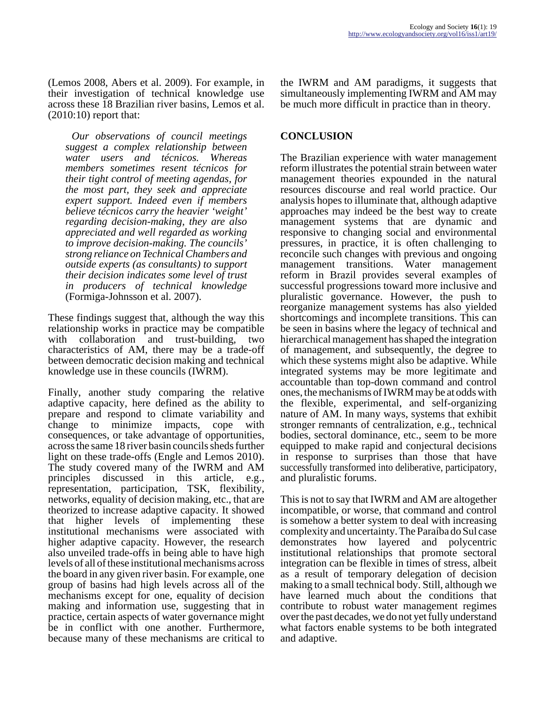(Lemos 2008, Abers et al. 2009). For example, in their investigation of technical knowledge use across these 18 Brazilian river basins, Lemos et al. (2010:10) report that:

*Our observations of council meetings suggest a complex relationship between water users and técnicos. Whereas members sometimes resent técnicos for their tight control of meeting agendas, for the most part, they seek and appreciate expert support. Indeed even if members believe técnicos carry the heavier 'weight' regarding decision-making, they are also appreciated and well regarded as working to improve decision-making. The councils' strong reliance on Technical Chambers and outside experts (as consultants) to support their decision indicates some level of trust in producers of technical knowledge* (Formiga-Johnsson et al. 2007).

These findings suggest that, although the way this relationship works in practice may be compatible with collaboration and trust-building, two characteristics of AM, there may be a trade-off between democratic decision making and technical knowledge use in these councils (IWRM).

Finally, another study comparing the relative adaptive capacity, here defined as the ability to prepare and respond to climate variability and change to minimize impacts, cope with consequences, or take advantage of opportunities, across the same 18 river basin councils sheds further light on these trade-offs (Engle and Lemos 2010). The study covered many of the IWRM and AM principles discussed in this article, e.g., representation, participation, TSK, flexibility, networks, equality of decision making, etc., that are theorized to increase adaptive capacity. It showed that higher levels of implementing these institutional mechanisms were associated with higher adaptive capacity. However, the research also unveiled trade-offs in being able to have high levels of all of these institutional mechanisms across the board in any given river basin. For example, one group of basins had high levels across all of the mechanisms except for one, equality of decision making and information use, suggesting that in practice, certain aspects of water governance might be in conflict with one another. Furthermore, because many of these mechanisms are critical to

the IWRM and AM paradigms, it suggests that simultaneously implementing IWRM and AM may be much more difficult in practice than in theory.

## **CONCLUSION**

The Brazilian experience with water management reform illustrates the potential strain between water management theories expounded in the natural resources discourse and real world practice. Our analysis hopes to illuminate that, although adaptive approaches may indeed be the best way to create management systems that are dynamic and responsive to changing social and environmental pressures, in practice, it is often challenging to reconcile such changes with previous and ongoing management transitions. Water management reform in Brazil provides several examples of successful progressions toward more inclusive and pluralistic governance. However, the push to reorganize management systems has also yielded shortcomings and incomplete transitions. This can be seen in basins where the legacy of technical and hierarchical management has shaped the integration of management, and subsequently, the degree to which these systems might also be adaptive. While integrated systems may be more legitimate and accountable than top-down command and control ones, the mechanisms of IWRM may be at odds with the flexible, experimental, and self-organizing nature of AM. In many ways, systems that exhibit stronger remnants of centralization, e.g., technical bodies, sectoral dominance, etc., seem to be more equipped to make rapid and conjectural decisions in response to surprises than those that have successfully transformed into deliberative, participatory, and pluralistic forums.

This is not to say that IWRM and AM are altogether incompatible, or worse, that command and control is somehow a better system to deal with increasing complexity and uncertainty. The Paraíba do Sul case demonstrates how layered and polycentric institutional relationships that promote sectoral integration can be flexible in times of stress, albeit as a result of temporary delegation of decision making to a small technical body. Still, although we have learned much about the conditions that contribute to robust water management regimes over the past decades, we do not yet fully understand what factors enable systems to be both integrated and adaptive.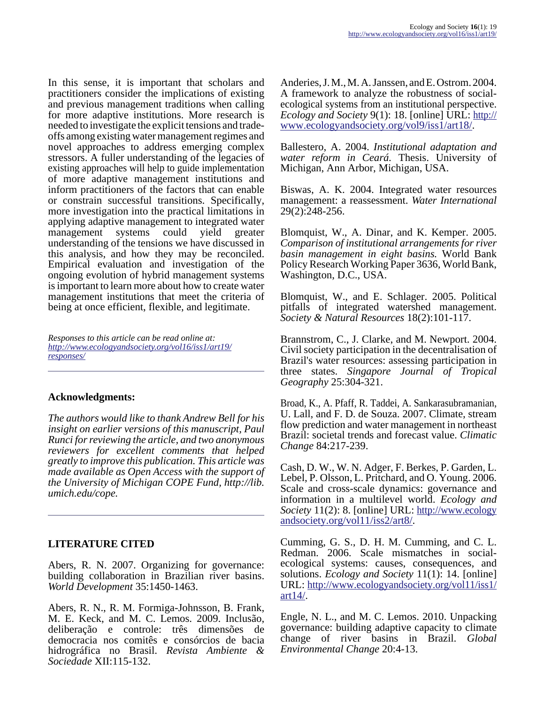In this sense, it is important that scholars and practitioners consider the implications of existing and previous management traditions when calling for more adaptive institutions. More research is needed to investigate the explicit tensions and tradeoffs among existing water management regimes and novel approaches to address emerging complex stressors. A fuller understanding of the legacies of existing approaches will help to guide implementation of more adaptive management institutions and inform practitioners of the factors that can enable or constrain successful transitions. Specifically, more investigation into the practical limitations in applying adaptive management to integrated water<br>management systems could vield greater systems could yield greater understanding of the tensions we have discussed in this analysis, and how they may be reconciled. Empirical evaluation and investigation of the ongoing evolution of hybrid management systems is important to learn more about how to create water management institutions that meet the criteria of being at once efficient, flexible, and legitimate.

*Responses to this article can be read online at: [http://www](http://www.ecologyandsociety.org/vol16/iss1/art19/responses/).ecologyandsociety.org/vol16/iss1/art19/ responses/*

### **Acknowledgments:**

*The authors would like to thank Andrew Bell for his insight on earlier versions of this manuscript, Paul Runci for reviewing the article, and two anonymous reviewers for excellent comments that helped greatly to improve this publication. This article was made available as Open Access with the support of the University of Michigan COPE Fund, http://lib. umich.edu/cope.*

### **LITERATURE CITED**

Abers, R. N. 2007. Organizing for governance: building collaboration in Brazilian river basins. *World Development* 35:1450-1463.

Abers, R. N., R. M. Formiga-Johnsson, B. Frank, M. E. Keck, and M. C. Lemos. 2009. Inclusão, deliberação e controle: três dimensões de democracia nos comitês e consórcios de bacia hidrográfica no Brasil. *Revista Ambiente & Sociedade* XII:115-132.

Anderies, J. M., M. A. Janssen, and E. Ostrom. 2004. A framework to analyze the robustness of socialecological systems from an institutional perspective. *Ecology and Society* 9(1): 18. [online] URL: [http://](http://www.ecologyandsociety.org/vol9/iss1/art18/) [www.ecologyandsociety.org/vol9/iss1/art18/](http://www.ecologyandsociety.org/vol9/iss1/art18/).

Ballestero, A. 2004. *Institutional adaptation and water reform in Ceará.* Thesis. University of Michigan, Ann Arbor, Michigan, USA.

Biswas, A. K. 2004. Integrated water resources management: a reassessment. *Water International* 29(2):248-256.

Blomquist, W., A. Dinar, and K. Kemper. 2005. *Comparison of institutional arrangements for river basin management in eight basins.* World Bank Policy Research Working Paper 3636, World Bank, Washington, D.C., USA.

Blomquist, W., and E. Schlager. 2005. Political pitfalls of integrated watershed management. *Society & Natural Resources* 18(2):101-117.

Brannstrom, C., J. Clarke, and M. Newport. 2004. Civil society participation in the decentralisation of Brazil's water resources: assessing participation in three states. *Singapore Journal of Tropical Geography* 25:304-321.

Broad, K., A. Pfaff, R. Taddei, A. Sankarasubramanian, U. Lall, and F. D. de Souza. 2007. Climate, stream flow prediction and water management in northeast Brazil: societal trends and forecast value. *Climatic Change* 84:217-239.

Cash, D. W., W. N. Adger, F. Berkes, P. Garden, L. Lebel, P. Olsson, L. Pritchard, and O. Young. 2006. Scale and cross-scale dynamics: governance and information in a multilevel world. *Ecology and Society* 11(2): 8. [online] URL: [http://www.ecology](http://www.ecologyandsociety.org/vol11/iss2/art8/) [andsociety.org/vol11/iss2/art8/](http://www.ecologyandsociety.org/vol11/iss2/art8/).

Cumming, G. S., D. H. M. Cumming, and C. L. Redman. 2006. Scale mismatches in socialecological systems: causes, consequences, and solutions. *Ecology and Society* 11(1): 14. [online] URL: [http://www.ecologyandsociety.org/vol11/iss1/](http://www.ecologyandsociety.org/vol11/iss1/art14/) [art14/.](http://www.ecologyandsociety.org/vol11/iss1/art14/)

Engle, N. L., and M. C. Lemos. 2010. Unpacking governance: building adaptive capacity to climate change of river basins in Brazil. *Global Environmental Change* 20:4-13.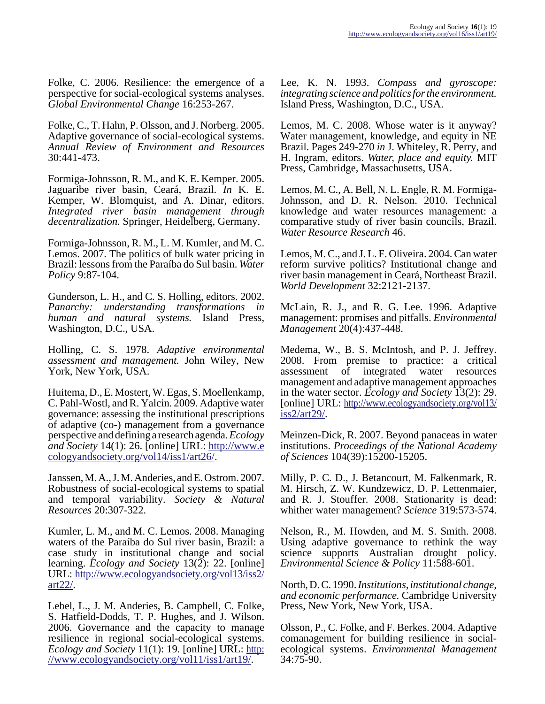Folke, C. 2006. Resilience: the emergence of a perspective for social-ecological systems analyses. *Global Environmental Change* 16:253-267.

Folke, C., T. Hahn, P. Olsson, and J. Norberg. 2005. Adaptive governance of social-ecological systems. *Annual Review of Environment and Resources* 30:441-473.

Formiga-Johnsson, R. M., and K. E. Kemper. 2005. Jaguaribe river basin, Ceará, Brazil. *In* K. E. Kemper, W. Blomquist, and A. Dinar, editors. *Integrated river basin management through decentralization.* Springer, Heidelberg, Germany.

Formiga-Johnsson, R. M., L. M. Kumler, and M. C. Lemos. 2007. The politics of bulk water pricing in Brazil: lessons from the Paraíba do Sul basin. *Water Policy* 9:87-104.

Gunderson, L. H., and C. S. Holling, editors. 2002. *Panarchy: understanding transformations in human and natural systems.* Island Press, Washington, D.C., USA.

Holling, C. S. 1978. *Adaptive environmental assessment and management.* John Wiley, New York, New York, USA.

Huitema, D., E. Mostert, W. Egas, S. Moellenkamp, C. Pahl-Wostl, and R. Yalcin. 2009. Adaptive water governance: assessing the institutional prescriptions of adaptive (co-) management from a governance perspective and defining a research agenda. *Ecology and Society* 14(1): 26. [online] URL: [http://www.e](http://www.ecologyandsociety.org/vol14/iss1/art26/) [cologyandsociety.org/vol14/iss1/art26/.](http://www.ecologyandsociety.org/vol14/iss1/art26/)

Janssen, M. A., J. M. Anderies, and E. Ostrom. 2007. Robustness of social-ecological systems to spatial and temporal variability. *Society & Natural Resources* 20:307-322.

Kumler, L. M., and M. C. Lemos. 2008. Managing waters of the Paraíba do Sul river basin, Brazil: a case study in institutional change and social learning. *Ecology and Society* 13(2): 22. [online] URL: [http://www.ecologyandsociety.org/vol13/iss2/](http://www.ecologyandsociety.org/vol13/iss2/art22/) [art22/.](http://www.ecologyandsociety.org/vol13/iss2/art22/)

Lebel, L., J. M. Anderies, B. Campbell, C. Folke, S. Hatfield-Dodds, T. P. Hughes, and J. Wilson. 2006. Governance and the capacity to manage resilience in regional social-ecological systems. *Ecology and Society* 11(1): 19. [online] URL: [http:](http://www.ecologyandsociety.org/vol11/iss1/art19/) [//www.ecologyandsociety.org/vol11/iss1/art19/.](http://www.ecologyandsociety.org/vol11/iss1/art19/)

Lee, K. N. 1993. *Compass and gyroscope: integrating science and politics for the environment.* Island Press, Washington, D.C., USA.

Lemos, M. C. 2008. Whose water is it anyway? Water management, knowledge, and equity in NE Brazil. Pages 249-270 *in* J. Whiteley, R. Perry, and H. Ingram, editors. *Water, place and equity.* MIT Press, Cambridge, Massachusetts, USA.

Lemos, M. C., A. Bell, N. L. Engle, R. M. Formiga-Johnsson, and D. R. Nelson. 2010. Technical knowledge and water resources management: a comparative study of river basin councils, Brazil. *Water Resource Research* 46.

Lemos, M. C., and J. L. F. Oliveira. 2004. Can water reform survive politics? Institutional change and river basin management in Ceará, Northeast Brazil. *World Development* 32:2121-2137.

McLain, R. J., and R. G. Lee. 1996. Adaptive management: promises and pitfalls. *Environmental Management* 20(4):437-448.

Medema, W., B. S. McIntosh, and P. J. Jeffrey. 2008. From premise to practice: a critical assessment of integrated water resources management and adaptive management approaches in the water sector. *Ecology and Society* 13(2): 29. [online] URL: [http://www.ecologyandsociety.org/vol13/](http://www.ecologyandsociety.org/vol13/iss2/art29/) [iss2/art29/](http://www.ecologyandsociety.org/vol13/iss2/art29/).

Meinzen-Dick, R. 2007. Beyond panaceas in water institutions. *Proceedings of the National Academy of Sciences* 104(39):15200-15205.

Milly, P. C. D., J. Betancourt, M. Falkenmark, R. M. Hirsch, Z. W. Kundzewicz, D. P. Lettenmaier, and R. J. Stouffer. 2008. Stationarity is dead: whither water management? *Science* 319:573-574.

Nelson, R., M. Howden, and M. S. Smith. 2008. Using adaptive governance to rethink the way science supports Australian drought policy. *Environmental Science & Policy* 11:588-601.

North, D. C. 1990. *Institutions, institutional change, and economic performance.* Cambridge University Press, New York, New York, USA.

Olsson, P., C. Folke, and F. Berkes. 2004. Adaptive comanagement for building resilience in socialecological systems. *Environmental Management* 34:75-90.